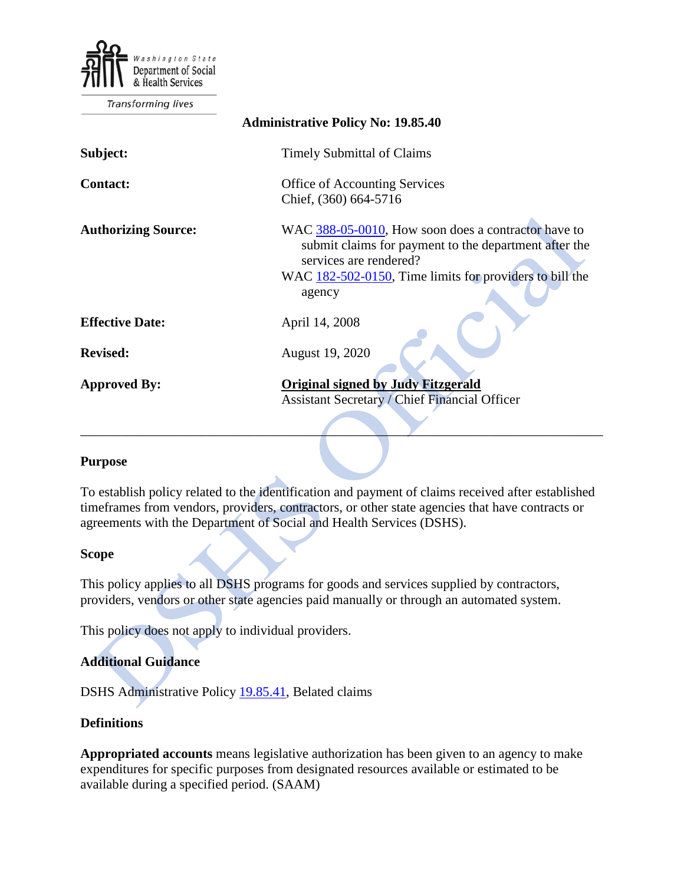

**Transforming lives** 

| <b>Administrative Policy No: 19.85.40</b>                                                                                                                                                                   |
|-------------------------------------------------------------------------------------------------------------------------------------------------------------------------------------------------------------|
| <b>Timely Submittal of Claims</b>                                                                                                                                                                           |
| Office of Accounting Services<br>Chief, (360) 664-5716                                                                                                                                                      |
| WAC 388-05-0010, How soon does a contractor have to<br>submit claims for payment to the department after the<br>services are rendered?<br>WAC 182-502-0150, Time limits for providers to bill the<br>agency |
| April 14, 2008                                                                                                                                                                                              |
| August 19, 2020                                                                                                                                                                                             |
| <b>Original signed by Judy Fitzgerald</b><br><b>Assistant Secretary / Chief Financial Officer</b>                                                                                                           |
|                                                                                                                                                                                                             |

### **Purpose**

To establish policy related to the identification and payment of claims received after established timeframes from vendors, providers, contractors, or other state agencies that have contracts or agreements with the Department of Social and Health Services (DSHS).

 $\mathcal{L} = \{ \mathcal{L} \mid \mathcal{L} \in \mathcal{L} \}$ 

### **Scope**

This policy applies to all DSHS programs for goods and services supplied by contractors, providers, vendors or other state agencies paid manually or through an automated system.

This policy does not apply to individual providers.

# **Additional Guidance**

DSHS Administrative Policy [19.85.41,](http://one.dshs.wa.lcl/Policies/Administrative/DSHS-AP-19-85-41.pdf) Belated claims

### **Definitions**

**Appropriated accounts** means legislative authorization has been given to an agency to make expenditures for specific purposes from designated resources available or estimated to be available during a specified period. (SAAM)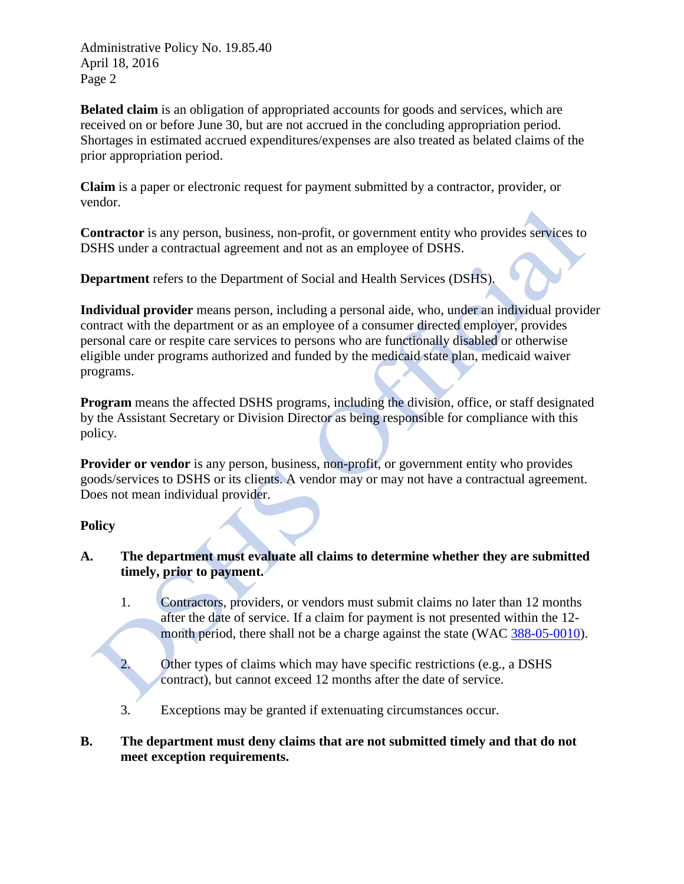Administrative Policy No. 19.85.40 April 18, 2016 Page 2

**Belated claim** is an obligation of appropriated accounts for goods and services, which are received on or before June 30, but are not accrued in the concluding appropriation period. Shortages in estimated accrued expenditures/expenses are also treated as belated claims of the prior appropriation period.

**Claim** is a paper or electronic request for payment submitted by a contractor, provider, or vendor.

**Contractor** is any person, business, non-profit, or government entity who provides services to DSHS under a contractual agreement and not as an employee of DSHS.

**Department** refers to the Department of Social and Health Services (DSHS).

**Individual provider** means person, including a personal aide, who, under an individual provider contract with the department or as an employee of a consumer directed employer, provides personal care or respite care services to persons who are functionally disabled or otherwise eligible under programs authorized and funded by the medicaid state plan, medicaid waiver programs.

**Program** means the affected DSHS programs, including the division, office, or staff designated by the Assistant Secretary or Division Director as being responsible for compliance with this policy.

**Provider or vendor** is any person, business, non-profit, or government entity who provides goods/services to DSHS or its clients. A vendor may or may not have a contractual agreement. Does not mean individual provider.

## **Policy**

## **A. The department must evaluate all claims to determine whether they are submitted timely, prior to payment.**

- 1. Contractors, providers, or vendors must submit claims no later than 12 months after the date of service. If a claim for payment is not presented within the 12 month period, there shall not be a charge against the state (WAC [388-05-0010\)](http://apps.leg.wa.gov/WAC/default.aspx?cite=388-05-0010).
- 2. Other types of claims which may have specific restrictions (e.g., a DSHS contract), but cannot exceed 12 months after the date of service.
- 3. Exceptions may be granted if extenuating circumstances occur.

### **B. The department must deny claims that are not submitted timely and that do not meet exception requirements.**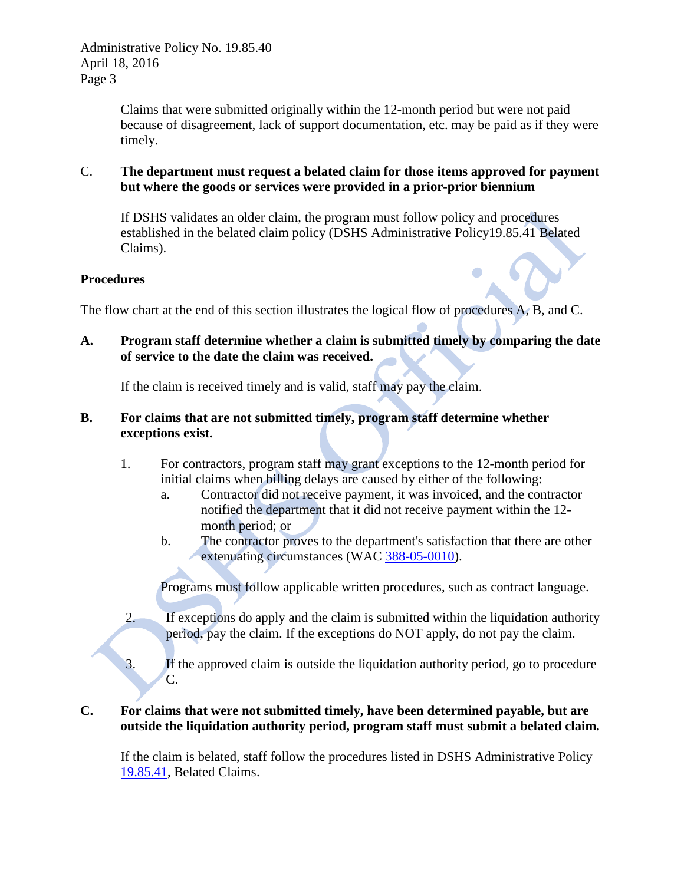Administrative Policy No. 19.85.40 April 18, 2016 Page 3

> Claims that were submitted originally within the 12-month period but were not paid because of disagreement, lack of support documentation, etc. may be paid as if they were timely.

### C. **The department must request a belated claim for those items approved for payment but where the goods or services were provided in a prior-prior biennium**

If DSHS validates an older claim, the program must follow policy and procedures established in the belated claim policy (DSHS Administrative Policy19.85.41 Belated Claims).

## **Procedures**

The flow chart at the end of this section illustrates the logical flow of procedures A, B, and C.

**A. Program staff determine whether a claim is submitted timely by comparing the date of service to the date the claim was received.** 

If the claim is received timely and is valid, staff may pay the claim.

## **B. For claims that are not submitted timely, program staff determine whether exceptions exist.**

- 1. For contractors, program staff may grant exceptions to the 12-month period for initial claims when billing delays are caused by either of the following:
	- a. Contractor did not receive payment, it was invoiced, and the contractor notified the department that it did not receive payment within the 12 month period; or
	- b. The contractor proves to the department's satisfaction that there are other extenuating circumstances (WAC [388-05-0010\)](http://apps.leg.wa.gov/WAC/default.aspx?cite=388-05-0010).

Programs must follow applicable written procedures, such as contract language.

- 2. If exceptions do apply and the claim is submitted within the liquidation authority period, pay the claim. If the exceptions do NOT apply, do not pay the claim.
- 3. If the approved claim is outside the liquidation authority period, go to procedure C.

## **C. For claims that were not submitted timely, have been determined payable, but are outside the liquidation authority period, program staff must submit a belated claim.**

If the claim is belated, staff follow the procedures listed in DSHS Administrative Policy [19.85.41,](http://one.dshs.wa.lcl/Policies/Administrative/DSHS-AP-19-85-41.pdf) Belated Claims.